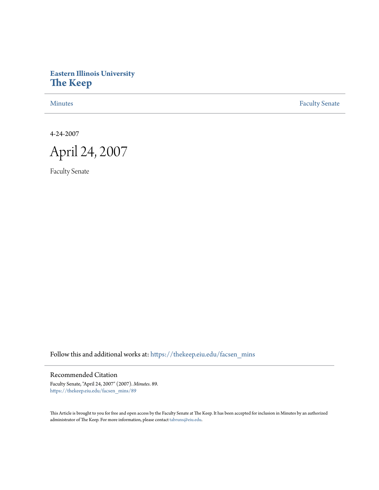# **Eastern Illinois University [The Keep](https://thekeep.eiu.edu?utm_source=thekeep.eiu.edu%2Ffacsen_mins%2F89&utm_medium=PDF&utm_campaign=PDFCoverPages)**

[Minutes](https://thekeep.eiu.edu/facsen_mins?utm_source=thekeep.eiu.edu%2Ffacsen_mins%2F89&utm_medium=PDF&utm_campaign=PDFCoverPages) **[Faculty Senate](https://thekeep.eiu.edu/fac_senate?utm_source=thekeep.eiu.edu%2Ffacsen_mins%2F89&utm_medium=PDF&utm_campaign=PDFCoverPages)** 

4-24-2007



Faculty Senate

Follow this and additional works at: [https://thekeep.eiu.edu/facsen\\_mins](https://thekeep.eiu.edu/facsen_mins?utm_source=thekeep.eiu.edu%2Ffacsen_mins%2F89&utm_medium=PDF&utm_campaign=PDFCoverPages)

Recommended Citation

Faculty Senate, "April 24, 2007" (2007). *Minutes*. 89. [https://thekeep.eiu.edu/facsen\\_mins/89](https://thekeep.eiu.edu/facsen_mins/89?utm_source=thekeep.eiu.edu%2Ffacsen_mins%2F89&utm_medium=PDF&utm_campaign=PDFCoverPages)

This Article is brought to you for free and open access by the Faculty Senate at The Keep. It has been accepted for inclusion in Minutes by an authorized administrator of The Keep. For more information, please contact [tabruns@eiu.edu.](mailto:tabruns@eiu.edu)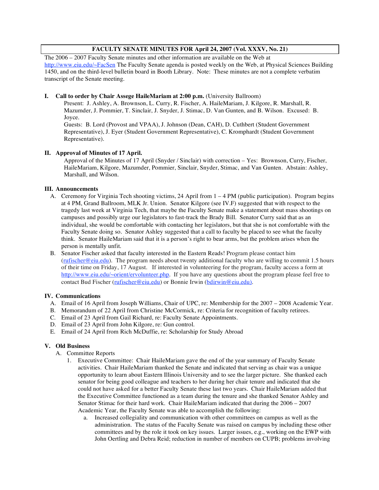# **FACULTY SENATE MINUTES FOR April 24, 2007 (Vol. XXXV, No. 21)**

The 2006 – 2007 Faculty Senate minutes and other information are available on the Web at http://www.eiu.edu/~FacSen The Faculty Senate agenda is posted weekly on the Web, at Physical Sciences Building 1450, and on the third-level bulletin board in Booth Library. Note: These minutes are not a complete verbatim transcript of the Senate meeting.

#### **I. Call to order by Chair Assege HaileMariam at 2:00 p.m.** (University Ballroom)

Present: J. Ashley, A. Brownson, L. Curry, R. Fischer, A. HaileMariam, J. Kilgore, R. Marshall, R. Mazumder, J. Pommier, T. Sinclair, J. Snyder, J. Stimac, D. Van Gunten, and B. Wilson. Excused: B. Joyce.

Guests: B. Lord (Provost and VPAA), J. Johnson (Dean, CAH), D. Cuthbert (Student Government Representative), J. Eyer (Student Government Representative), C. Kromphardt (Student Government Representative).

## **II. Approval of Minutes of 17 April.**

Approval of the Minutes of 17 April (Snyder / Sinclair) with correction – Yes: Brownson, Curry, Fischer, HaileMariam, Kilgore, Mazumder, Pommier, Sinclair, Snyder, Stimac, and Van Gunten. Abstain: Ashley, Marshall, and Wilson.

## **III. Announcements**

- A. Ceremony for Virginia Tech shooting victims, 24 April from 1 4 PM (public participation). Program begins at 4 PM, Grand Ballroom, MLK Jr. Union. Senator Kilgore (see IV.F) suggested that with respect to the tragedy last week at Virginia Tech, that maybe the Faculty Senate make a statement about mass shootings on campuses and possibly urge our legislators to fast-track the Brady Bill. Senator Curry said that as an individual, she would be comfortable with contacting her legislators, but that she is not comfortable with the Faculty Senate doing so. Senator Ashley suggested that a call to faculty be placed to see what the faculty think. Senator HaileMariam said that it is a person's right to bear arms, but the problem arises when the person is mentally unfit.
- B. Senator Fischer asked that faculty interested in the Eastern Reads! Program please contact him  $(rufische@eiu.edu)$ . The program needs about twenty additional faculty who are willing to commit 1.5 hours of their time on Friday, 17 August. If interested in volunteering for the program, faculty access a form at http://www.eiu.edu/~orient/ervolunteer.php. If you have any questions about the program please feel free to contact Bud Fischer (rufischer@eiu.edu) or Bonnie Irwin (bdirwin@eiu.edu).

#### **IV. Communications**

- A. Email of 16 April from Joseph Williams, Chair of UPC, re: Membership for the 2007 2008 Academic Year.
- B. Memorandum of 22 April from Christine McCormick, re: Criteria for recognition of faculty retirees.
- C. Email of 23 April from Gail Richard, re: Faculty Senate Appointments.
- D. Email of 23 April from John Kilgore, re: Gun control.
- E. Email of 24 April from Rich McDuffie, re: Scholarship for Study Abroad

# **V. Old Business**

- A. Committee Reports
	- 1. Executive Committee: Chair HaileMariam gave the end of the year summary of Faculty Senate activities. Chair HaileMariam thanked the Senate and indicated that serving as chair was a unique opportunity to learn about Eastern Illinois University and to see the larger picture. She thanked each senator for being good colleague and teachers to her during her chair tenure and indicated that she could not have asked for a better Faculty Senate these last two years. Chair HaileMariam added that the Executive Committee functioned as a team during the tenure and she thanked Senator Ashley and Senator Stimac for their hard work. Chair HaileMariam indicated that during the 2006 – 2007 Academic Year, the Faculty Senate was able to accomplish the following:
		- a. Increased collegiality and communication with other committees on campus as well as the administration. The status of the Faculty Senate was raised on campus by including these other committees and by the role it took on key issues. Larger issues, e.g., working on the EWP with John Oertling and Debra Reid; reduction in number of members on CUPB; problems involving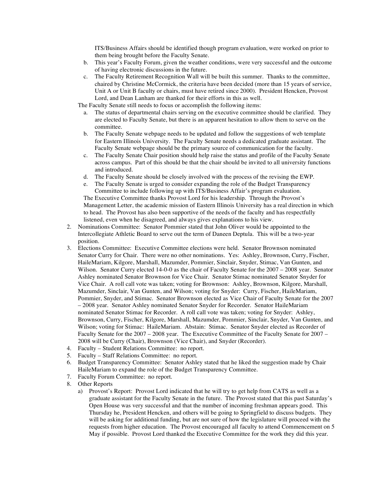ITS/Business Affairs should be identified though program evaluation, were worked on prior to them being brought before the Faculty Senate.

- b. This year's Faculty Forum, given the weather conditions, were very successful and the outcome of having electronic discussions in the future.
- c. The Faculty Retirement Recognition Wall will be built this summer. Thanks to the committee, chaired by Christine McCormick, the criteria have been decided (more than 15 years of service, Unit A or Unit B faculty or chairs, must have retired since 2000). President Hencken, Provost Lord, and Dean Lanham are thanked for their efforts in this as well.

The Faculty Senate still needs to focus or accomplish the following items:

- a. The status of departmental chairs serving on the executive committee should be clarified. They are elected to Faculty Senate, but there is an apparent hesitation to allow them to serve on the committee.
- b. The Faculty Senate webpage needs to be updated and follow the suggestions of web template for Eastern Illinois University. The Faculty Senate needs a dedicated graduate assistant. The Faculty Senate webpage should be the primary source of communication for the faculty.
- c. The Faculty Senate Chair position should help raise the status and profile of the Faculty Senate across campus. Part of this should be that the chair should be invited to all university functions and introduced.
- d. The Faculty Senate should be closely involved with the process of the revising the EWP.
- e. The Faculty Senate is urged to consider expanding the role of the Budget Transparency Committee to include following up with ITS/Business Affair's program evaluation.

The Executive Committee thanks Provost Lord for his leadership. Through the Provost's Management Letter, the academic mission of Eastern Illinois University has a real direction in which to head. The Provost has also been supportive of the needs of the faculty and has respectfully listened, even when he disagreed, and always gives explanations to his view.

- 2. Nominations Committee: Senator Pommier stated that John Oliver would be appointed to the Intercollegiate Athletic Board to serve out the term of Daneen Deptula. This will be a two-year position.
- 3. Elections Committee: Executive Committee elections were held. Senator Brownson nominated Senator Curry for Chair. There were no other nominations. Yes: Ashley, Brownson, Curry, Fischer, HaileMariam, Kilgore, Marshall, Mazumder, Pommier, Sinclair, Snyder, Stimac, Van Gunten, and Wilson. Senator Curry elected 14-0-0 as the chair of Faculty Senate for the 2007 – 2008 year. Senator Ashley nominated Senator Brownson for Vice Chair. Senator Stimac nominated Senator Snyder for Vice Chair. A roll call vote was taken; voting for Brownson: Ashley, Brownson, Kilgore, Marshall, Mazumder, Sinclair, Van Gunten, and Wilson; voting for Snyder: Curry, Fischer, HaileMariam, Pommier, Snyder, and Stimac. Senator Brownson elected as Vice Chair of Faculty Senate for the 2007 – 2008 year. Senator Ashley nominated Senator Snyder for Recorder. Senator HaileMariam nominated Senator Stimac for Recorder. A roll call vote was taken; voting for Snyder: Ashley, Brownson, Curry, Fischer, Kilgore, Marshall, Mazumder, Pommier, Sinclair, Snyder, Van Gunten, and Wilson; voting for Stimac: HaileMariam. Abstain: Stimac. Senator Snyder elected as Recorder of Faculty Senate for the 2007 – 2008 year. The Executive Committee of the Faculty Senate for 2007 – 2008 will be Curry (Chair), Brownson (Vice Chair), and Snyder (Recorder).
- 4. Faculty Student Relations Committee: no report.
- 5. Faculty Staff Relations Committee: no report.
- 6. Budget Transparency Committee: Senator Ashley stated that he liked the suggestion made by Chair HaileMariam to expand the role of the Budget Transparency Committee.
- 7. Faculty Forum Committee: no report.
- 8. Other Reports
	- a) Provost's Report: Provost Lord indicated that he will try to get help from CATS as well as a graduate assistant for the Faculty Senate in the future. The Provost stated that this past Saturday's Open House was very successful and that the number of incoming freshman appears good. This Thursday he, President Hencken, and others will be going to Springfield to discuss budgets. They will be asking for additional funding, but are not sure of how the legislature will proceed with the requests from higher education. The Provost encouraged all faculty to attend Commencement on 5 May if possible. Provost Lord thanked the Executive Committee for the work they did this year.